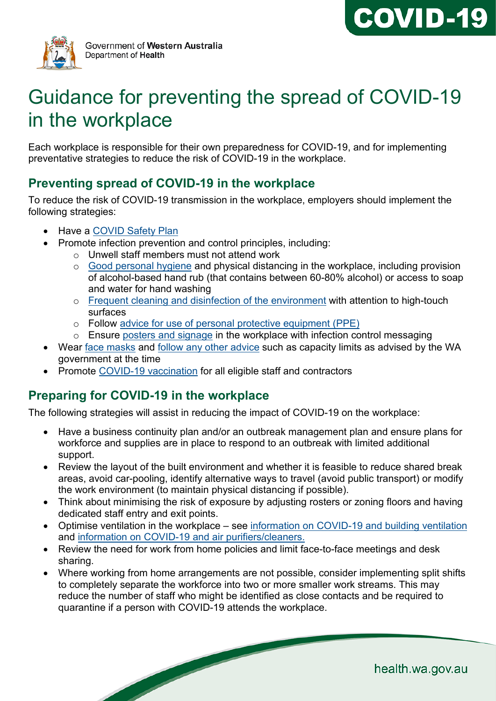



# Guidance for preventing the spread of COVID-19 in the workplace

Each workplace is responsible for their own preparedness for COVID-19, and for implementing preventative strategies to reduce the risk of COVID-19 in the workplace.

### **Preventing spread of COVID-19 in the workplace**

To reduce the risk of COVID-19 transmission in the workplace, employers should implement the following strategies:

- Have a [COVID Safety Plan](https://www.wa.gov.au/government/document-collections/covid-19-coronavirus-covid-safety-plans-and-guidelines)
- Promote infection prevention and control principles, including:
	- o Unwell staff members must not attend work
	- o [Good personal hygiene](https://www.healthywa.wa.gov.au/Articles/N_R/Preventing-flu-and-other-respiratory-infections) and physical distancing in the workplace, including provision of alcohol-based hand rub (that contains between 60-80% alcohol) or access to soap and water for hand washing
	- o [Frequent cleaning and disinfection of the environment](https://www.healthywa.wa.gov.au/%7E/media/Corp/Documents/Health-for/Infectious-disease/COVID19/COVID19-IPC-advice-on-cleaning-and-disinfecting-in-the-workplace.pdf) with attention to high-touch surfaces
	- o Follow [advice for use of personal protective equipment \(PPE\)](https://ww2.health.wa.gov.au/%7E/media/Corp/Documents/Health-for/Infectious-disease/COVID19/COVID19-Use-of-PPE-for-workers-in-community-settings.pdf)
	- o Ensure [posters and signage](#page-1-0) in the workplace with infection control messaging
- Wear [face masks](https://www.healthywa.wa.gov.au/Articles/A_E/Coronavirus/Face-masks) and [follow any other advice](https://www.wa.gov.au/government/covid-19-coronavirus/covid-19-coronavirus-what-you-can-and-cant-do) such as capacity limits as advised by the WA government at the time
- Promote [COVID-19 vaccination](https://www.healthywa.wa.gov.au/Articles/A_E/Coronavirus/COVID19-vaccine) for all eligible staff and contractors

## **Preparing for COVID-19 in the workplace**

The following strategies will assist in reducing the impact of COVID-19 on the workplace:

- Have a business continuity plan and/or an outbreak management plan and ensure plans for workforce and supplies are in place to respond to an outbreak with limited additional support.
- Review the layout of the built environment and whether it is feasible to reduce shared break areas, avoid car-pooling, identify alternative ways to travel (avoid public transport) or modify the work environment (to maintain physical distancing if possible).
- Think about minimising the risk of exposure by adjusting rosters or zoning floors and having dedicated staff entry and exit points.
- Optimise ventilation in the workplace see [information on COVID-19 and building ventilation](https://ww2.health.wa.gov.au/%7E/media/Corp/Documents/Health-for/Infectious-disease/COVID19/COVID-19-ventilation-in-buildings.pdf) and [information on COVID-19 and air purifiers/cleaners.](https://ww2.health.wa.gov.au/%7E/media/Corp/Documents/Health-for/Infectious-disease/COVID19/COVID-19-and-air-purifiers-cleaners.pdf)
- Review the need for work from home policies and limit face-to-face meetings and desk sharing.
- Where working from home arrangements are not possible, consider implementing split shifts to completely separate the workforce into two or more smaller work streams. This may reduce the number of staff who might be identified as close contacts and be required to quarantine if a person with COVID-19 attends the workplace.

health.wa.gov.au